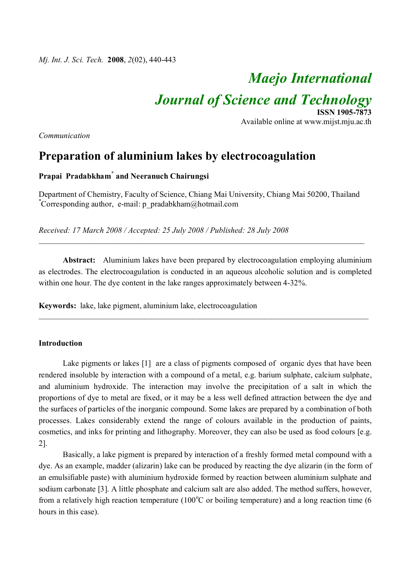# *Maejo International*

Available online at www.mijst.mju.ac.th

**ISSN 1905-7873**

*Journal of Science and Technology*

*Communication*

# **Preparation of aluminium lakes by electrocoagulation**

## **Prapai Pradabkham\* and Neeranuch Chairungsi**

Department of Chemistry, Faculty of Science, Chiang Mai University, Chiang Mai 50200, Thailand \*Corresponding author, e-mail: p\_pradabkham@hotmail.com

*Received: 17 March 2008 / Accepted: 25 July 2008 / Published: 28 July 2008*

**Abstract:** Aluminium lakes have been prepared by electrocoagulation employing aluminium as electrodes. The electrocoagulation is conducted in an aqueous alcoholic solution and is completed within one hour. The dye content in the lake ranges approximately between 4-32%.

\_\_\_\_\_\_\_\_\_\_\_\_\_\_\_\_\_\_\_\_\_\_\_\_\_\_\_\_\_\_\_\_\_\_\_\_\_\_\_\_\_\_\_\_\_\_\_\_\_\_\_\_\_\_\_\_\_\_\_\_\_\_\_\_\_\_\_\_\_\_\_\_\_\_\_\_\_\_\_\_\_\_

\_\_\_\_\_\_\_\_\_\_\_\_\_\_\_\_\_\_\_\_\_\_\_\_\_\_\_\_\_\_\_\_\_\_\_\_\_\_\_\_\_\_\_\_\_\_\_\_\_\_\_\_\_\_\_\_\_\_\_\_\_\_\_\_\_\_\_\_\_\_\_\_\_\_\_\_\_\_\_\_\_

**Keywords:** lake, lake pigment, aluminium lake, electrocoagulation

### **Introduction**

Lake pigments or lakes [1] are a class of pigments composed of organic dyes that have been rendered insoluble by interaction with a compound of a metal, e.g. barium sulphate, calcium sulphate, and aluminium hydroxide. The interaction may involve the precipitation of a salt in which the proportions of dye to metal are fixed, or it may be a less well defined attraction between the dye and the surfaces of particles of the inorganic compound. Some lakes are prepared by a combination of both processes. Lakes considerably extend the range of colours available in the production of paints, cosmetics, and inks for printing and lithography. Moreover, they can also be used as food colours [e.g. 2].

Basically, a lake pigment is prepared by interaction of a freshly formed metal compound with a dye. As an example, madder (alizarin) lake can be produced by reacting the dye alizarin (in the form of an emulsifiable paste) with aluminium hydroxide formed by reaction between aluminium sulphate and sodium carbonate [3]. A little phosphate and calcium salt are also added. The method suffers, however, from a relatively high reaction temperature (100 $^{\circ}$ C or boiling temperature) and a long reaction time (6 hours in this case).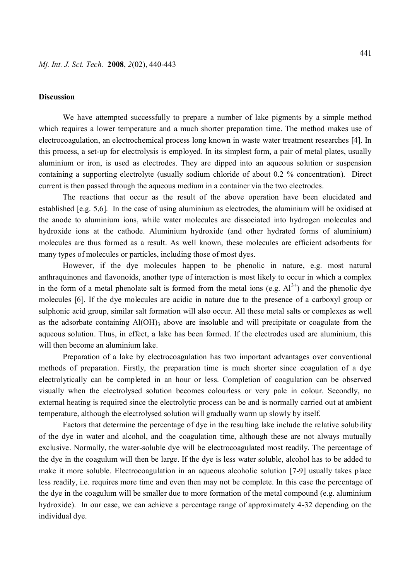#### **Discussion**

We have attempted successfully to prepare a number of lake pigments by a simple method which requires a lower temperature and a much shorter preparation time. The method makes use of electrocoagulation, an electrochemical process long known in waste water treatment researches [4]. In this process, a set-up for electrolysis is employed. In its simplest form, a pair of metal plates, usually aluminium or iron, is used as electrodes. They are dipped into an aqueous solution or suspension containing a supporting electrolyte (usually sodium chloride of about 0.2 % concentration). Direct current is then passed through the aqueous medium in a container via the two electrodes.

The reactions that occur as the result of the above operation have been elucidated and established [e.g. 5,6]. In the case of using aluminium as electrodes, the aluminium will be oxidised at the anode to aluminium ions, while water molecules are dissociated into hydrogen molecules and hydroxide ions at the cathode. Aluminium hydroxide (and other hydrated forms of aluminium) molecules are thus formed as a result. As well known, these molecules are efficient adsorbents for many types of molecules or particles, including those of most dyes.

However, if the dye molecules happen to be phenolic in nature, e.g. most natural anthraquinones and flavonoids, another type of interaction is most likely to occur in which a complex in the form of a metal phenolate salt is formed from the metal ions (e.g.  $Al^{3+}$ ) and the phenolic dye molecules [6]. If the dye molecules are acidic in nature due to the presence of a carboxyl group or sulphonic acid group, similar salt formation will also occur. All these metal salts or complexes as well as the adsorbate containing  $A(OH)$ <sub>3</sub> above are insoluble and will precipitate or coagulate from the aqueous solution. Thus, in effect, a lake has been formed. If the electrodes used are aluminium, this will then become an aluminium lake.

Preparation of a lake by electrocoagulation has two important advantages over conventional methods of preparation. Firstly, the preparation time is much shorter since coagulation of a dye electrolytically can be completed in an hour or less. Completion of coagulation can be observed visually when the electrolysed solution becomes colourless or very pale in colour. Secondly, no external heating is required since the electrolytic process can be and is normally carried out at ambient temperature, although the electrolysed solution will gradually warm up slowly by itself.

Factors that determine the percentage of dye in the resulting lake include the relative solubility of the dye in water and alcohol, and the coagulation time, although these are not always mutually exclusive. Normally, the water-soluble dye will be electrocoagulated most readily. The percentage of the dye in the coagulum will then be large. If the dye is less water soluble, alcohol has to be added to make it more soluble. Electrocoagulation in an aqueous alcoholic solution [7-9] usually takes place less readily, i.e. requires more time and even then may not be complete. In this case the percentage of the dye in the coagulum will be smaller due to more formation of the metal compound (e.g. aluminium hydroxide). In our case, we can achieve a percentage range of approximately 4-32 depending on the individual dye.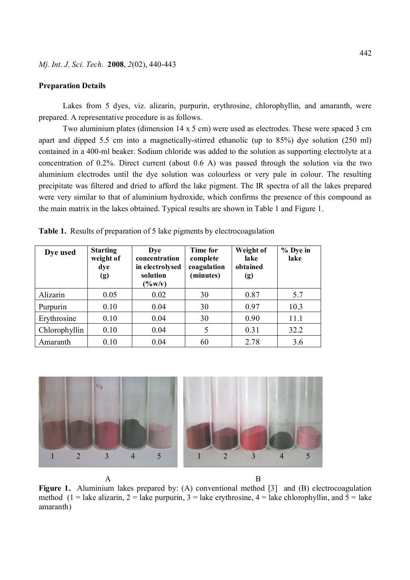#### **Preparation Details**

Lakes from 5 dyes, viz. alizarin, purpurin, erythrosine, chlorophyllin, and amaranth, were prepared. A representative procedure is as follows.

Two aluminium plates (dimension 14 x 5 cm) were used as electrodes. These were spaced 3 cm apart and dipped 5.5 cm into a magnetically-stirred ethanolic (up to 85%) dye solution (250 ml) contained in a 400-ml beaker. Sodium chloride was added to the solution as supporting electrolyte at a concentration of 0.2%. Direct current (about 0.6 A) was passed through the solution via the two aluminium electrodes until the dye solution was colourless or very pale in colour. The resulting precipitate was filtered and dried to afford the lake pigment. The IR spectra of all the lakes prepared were very similar to that of aluminium hydroxide, which confirms the presence of this compound as the main matrix in the lakes obtained. Typical results are shown in Table 1 and Figure 1.

| Dye used      | <b>Starting</b><br>weight of<br>dye<br>(g) | Dye<br>concentration<br>in electrolysed<br>solution<br>$(\frac{6}{V}$ (V) | <b>Time for</b><br>complete<br>coagulation<br>(minutes) | Weight of<br>lake<br>obtained<br>(g) | % Dye in<br>lake |
|---------------|--------------------------------------------|---------------------------------------------------------------------------|---------------------------------------------------------|--------------------------------------|------------------|
| Alizarin      | 0.05                                       | 0.02                                                                      | 30                                                      | 0.87                                 | 5.7              |
| Purpurin      | 0.10                                       | 0.04                                                                      | 30                                                      | 0.97                                 | 10.3             |
| Erythrosine   | 0.10                                       | 0.04                                                                      | 30                                                      | 0.90                                 | 11.1             |
| Chlorophyllin | 0.10                                       | 0.04                                                                      | 5                                                       | 0.31                                 | 32.2             |
| Amaranth      | 0.10                                       | 0.04                                                                      | 60                                                      | 2.78                                 | 3.6              |

**Table 1.** Results of preparation of 5 lake pigments by electrocoagulation



 A B Figure 1. Aluminium lakes prepared by: (A) conventional method [3] and (B) electrocoagulation method (1 = lake alizarin, 2 = lake purpurin, 3 = lake erythrosine, 4 = lake chlorophyllin, and 5 = lake amaranth)